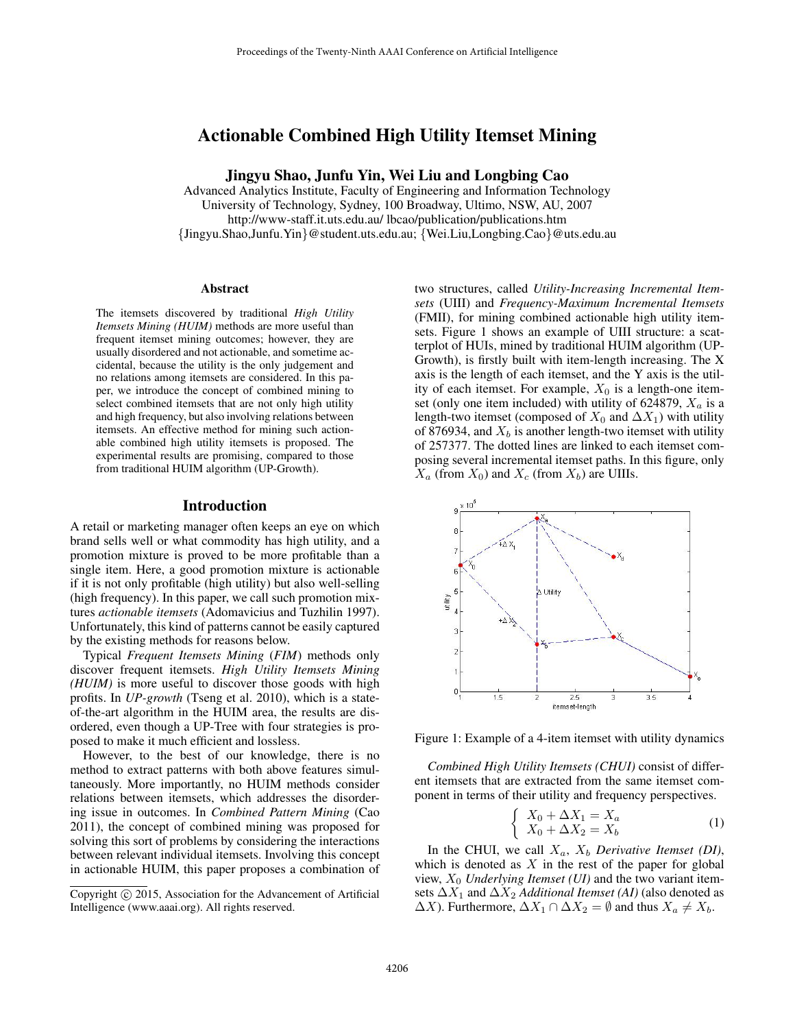# Actionable Combined High Utility Itemset Mining

Jingyu Shao, Junfu Yin, Wei Liu and Longbing Cao

Advanced Analytics Institute, Faculty of Engineering and Information Technology University of Technology, Sydney, 100 Broadway, Ultimo, NSW, AU, 2007 http://www-staff.it.uts.edu.au/ lbcao/publication/publications.htm {Jingyu.Shao,Junfu.Yin}@student.uts.edu.au; {Wei.Liu,Longbing.Cao}@uts.edu.au

#### Abstract

The itemsets discovered by traditional *High Utility Itemsets Mining (HUIM)* methods are more useful than frequent itemset mining outcomes; however, they are usually disordered and not actionable, and sometime accidental, because the utility is the only judgement and no relations among itemsets are considered. In this paper, we introduce the concept of combined mining to select combined itemsets that are not only high utility and high frequency, but also involving relations between itemsets. An effective method for mining such actionable combined high utility itemsets is proposed. The experimental results are promising, compared to those from traditional HUIM algorithm (UP-Growth).

### Introduction

A retail or marketing manager often keeps an eye on which brand sells well or what commodity has high utility, and a promotion mixture is proved to be more profitable than a single item. Here, a good promotion mixture is actionable if it is not only profitable (high utility) but also well-selling (high frequency). In this paper, we call such promotion mixtures *actionable itemsets* (Adomavicius and Tuzhilin 1997). Unfortunately, this kind of patterns cannot be easily captured by the existing methods for reasons below.

Typical *Frequent Itemsets Mining* (*FIM*) methods only discover frequent itemsets. *High Utility Itemsets Mining (HUIM)* is more useful to discover those goods with high profits. In *UP-growth* (Tseng et al. 2010), which is a stateof-the-art algorithm in the HUIM area, the results are disordered, even though a UP-Tree with four strategies is proposed to make it much efficient and lossless.

However, to the best of our knowledge, there is no method to extract patterns with both above features simultaneously. More importantly, no HUIM methods consider relations between itemsets, which addresses the disordering issue in outcomes. In *Combined Pattern Mining* (Cao 2011), the concept of combined mining was proposed for solving this sort of problems by considering the interactions between relevant individual itemsets. Involving this concept in actionable HUIM, this paper proposes a combination of

two structures, called *Utility-Increasing Incremental Itemsets* (UIII) and *Frequency-Maximum Incremental Itemsets* (FMII), for mining combined actionable high utility itemsets. Figure 1 shows an example of UIII structure: a scatterplot of HUIs, mined by traditional HUIM algorithm (UP-Growth), is firstly built with item-length increasing. The X axis is the length of each itemset, and the Y axis is the utility of each itemset. For example,  $X_0$  is a length-one itemset (only one item included) with utility of 624879,  $X_a$  is a length-two itemset (composed of  $X_0$  and  $\Delta X_1$ ) with utility of 876934, and  $X_b$  is another length-two itemset with utility of 257377. The dotted lines are linked to each itemset composing several incremental itemset paths. In this figure, only  $X_a$  (from  $X_0$ ) and  $X_c$  (from  $X_b$ ) are UIIIs.



Figure 1: Example of a 4-item itemset with utility dynamics

*Combined High Utility Itemsets (CHUI)* consist of different itemsets that are extracted from the same itemset component in terms of their utility and frequency perspectives.

$$
\begin{cases}\nX_0 + \Delta X_1 = X_a \\
X_0 + \Delta X_2 = X_b\n\end{cases}
$$
\n(1)

In the CHUI, we call  $X_a$ ,  $X_b$  *Derivative Itemset (DI)*, which is denoted as  $X$  in the rest of the paper for global view, X<sup>0</sup> *Underlying Itemset (UI)* and the two variant itemsets  $\Delta X_1$  and  $\Delta X_2$  *Additional Itemset (AI)* (also denoted as  $\Delta X$ ). Furthermore,  $\Delta X_1 \cap \Delta X_2 = \emptyset$  and thus  $X_a \neq X_b$ .

Copyright © 2015, Association for the Advancement of Artificial Intelligence (www.aaai.org). All rights reserved.